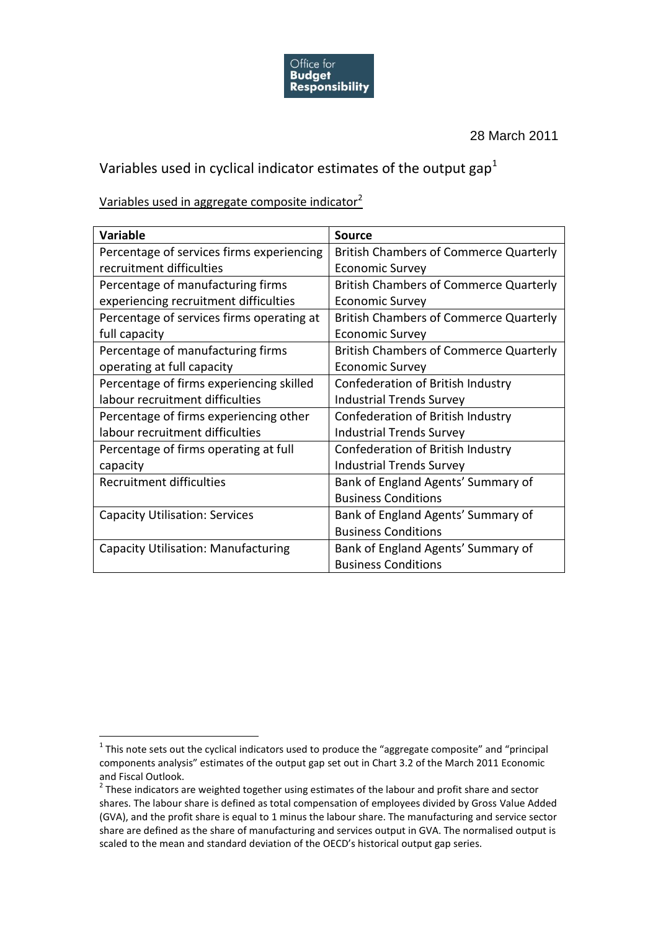

28 March 2011

## Variables used in cyclical indicator estimates of the output gap<sup>1</sup>

Variables used in aggregate composite indicator<sup>2</sup>

| <b>Variable</b>                            | <b>Source</b>                                 |
|--------------------------------------------|-----------------------------------------------|
| Percentage of services firms experiencing  | <b>British Chambers of Commerce Quarterly</b> |
| recruitment difficulties                   | <b>Economic Survey</b>                        |
| Percentage of manufacturing firms          | <b>British Chambers of Commerce Quarterly</b> |
| experiencing recruitment difficulties      | <b>Economic Survey</b>                        |
| Percentage of services firms operating at  | <b>British Chambers of Commerce Quarterly</b> |
| full capacity                              | <b>Economic Survey</b>                        |
| Percentage of manufacturing firms          | <b>British Chambers of Commerce Quarterly</b> |
| operating at full capacity                 | <b>Economic Survey</b>                        |
| Percentage of firms experiencing skilled   | Confederation of British Industry             |
| labour recruitment difficulties            | <b>Industrial Trends Survey</b>               |
| Percentage of firms experiencing other     | Confederation of British Industry             |
| labour recruitment difficulties            | <b>Industrial Trends Survey</b>               |
| Percentage of firms operating at full      | Confederation of British Industry             |
| capacity                                   | <b>Industrial Trends Survey</b>               |
| Recruitment difficulties                   | Bank of England Agents' Summary of            |
|                                            | <b>Business Conditions</b>                    |
| <b>Capacity Utilisation: Services</b>      | Bank of England Agents' Summary of            |
|                                            | <b>Business Conditions</b>                    |
| <b>Capacity Utilisation: Manufacturing</b> | Bank of England Agents' Summary of            |
|                                            | <b>Business Conditions</b>                    |

1

 $1$  This note sets out the cyclical indicators used to produce the "aggregate composite" and "principal components analysis" estimates of the output gap set out in Chart 3.2 of the March 2011 Economic and Fiscal Outlook.

 $2$  These indicators are weighted together using estimates of the labour and profit share and sector shares. The labour share is defined as total compensation of employees divided by Gross Value Added (GVA), and the profit share is equal to 1 minus the labour share. The manufacturing and service sector share are defined as the share of manufacturing and services output in GVA. The normalised output is scaled to the mean and standard deviation of the OECD's historical output gap series.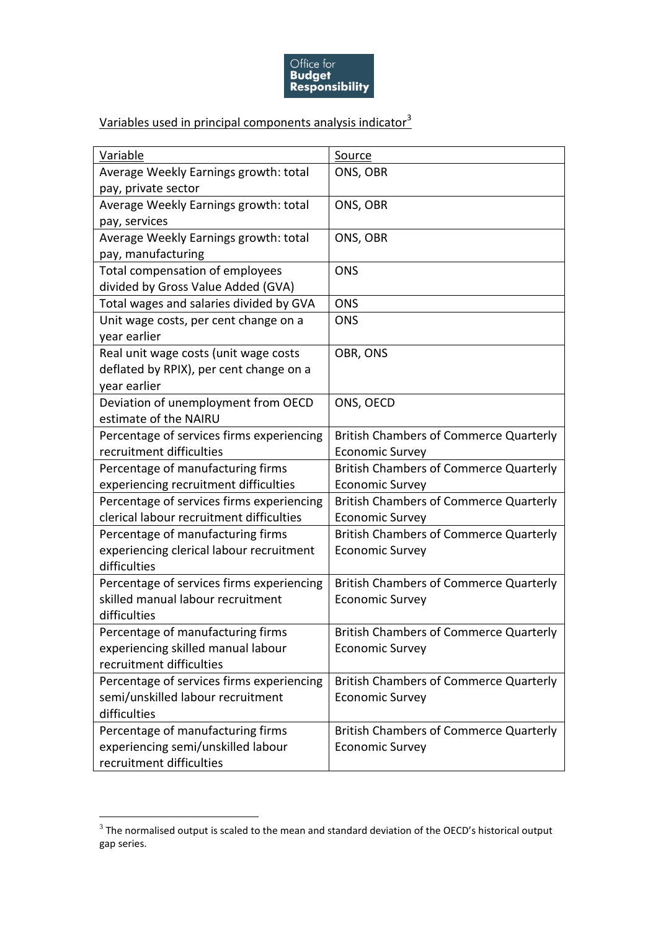

## Variables used in principal components analysis indicator<sup>3</sup>

| <b>Variable</b>                           | Source                                        |
|-------------------------------------------|-----------------------------------------------|
| Average Weekly Earnings growth: total     | ONS, OBR                                      |
| pay, private sector                       |                                               |
| Average Weekly Earnings growth: total     | ONS, OBR                                      |
| pay, services                             |                                               |
| Average Weekly Earnings growth: total     | ONS, OBR                                      |
| pay, manufacturing                        |                                               |
| Total compensation of employees           | <b>ONS</b>                                    |
| divided by Gross Value Added (GVA)        |                                               |
| Total wages and salaries divided by GVA   | <b>ONS</b>                                    |
| Unit wage costs, per cent change on a     | <b>ONS</b>                                    |
| year earlier                              |                                               |
| Real unit wage costs (unit wage costs     | OBR, ONS                                      |
| deflated by RPIX), per cent change on a   |                                               |
| year earlier                              |                                               |
| Deviation of unemployment from OECD       | ONS, OECD                                     |
| estimate of the NAIRU                     |                                               |
| Percentage of services firms experiencing | <b>British Chambers of Commerce Quarterly</b> |
| recruitment difficulties                  | <b>Economic Survey</b>                        |
| Percentage of manufacturing firms         | <b>British Chambers of Commerce Quarterly</b> |
| experiencing recruitment difficulties     | <b>Economic Survey</b>                        |
| Percentage of services firms experiencing | <b>British Chambers of Commerce Quarterly</b> |
| clerical labour recruitment difficulties  | <b>Economic Survey</b>                        |
| Percentage of manufacturing firms         | <b>British Chambers of Commerce Quarterly</b> |
| experiencing clerical labour recruitment  | <b>Economic Survey</b>                        |
| difficulties                              |                                               |
| Percentage of services firms experiencing | <b>British Chambers of Commerce Quarterly</b> |
| skilled manual labour recruitment         | <b>Economic Survey</b>                        |
| difficulties                              |                                               |
| Percentage of manufacturing firms         | <b>British Chambers of Commerce Quarterly</b> |
| experiencing skilled manual labour        | <b>Economic Survey</b>                        |
| recruitment difficulties                  |                                               |
| Percentage of services firms experiencing | <b>British Chambers of Commerce Quarterly</b> |
| semi/unskilled labour recruitment         | <b>Economic Survey</b>                        |
| difficulties                              |                                               |
| Percentage of manufacturing firms         | <b>British Chambers of Commerce Quarterly</b> |
| experiencing semi/unskilled labour        | <b>Economic Survey</b>                        |
| recruitment difficulties                  |                                               |

 3 The normalised output is scaled to the mean and standard deviation of the OECD's historical output gap series.